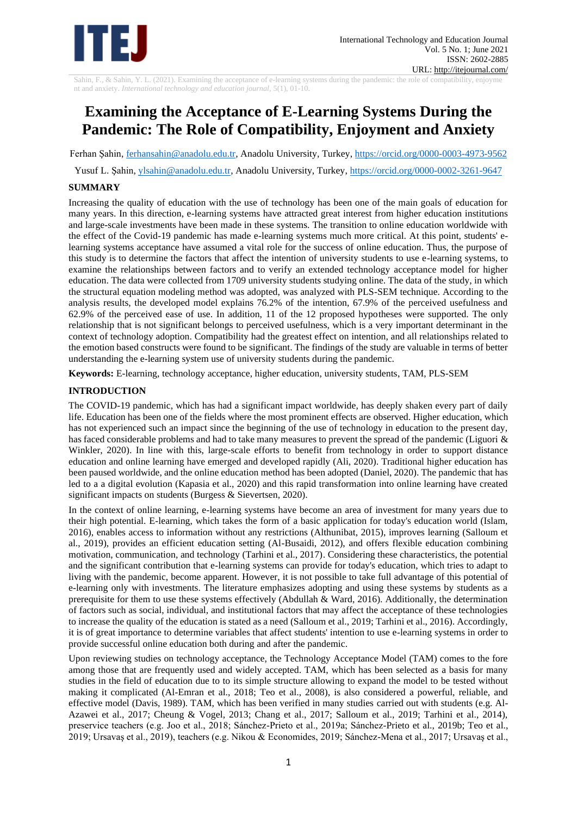

Sahin, F., & Sahin, Y. L. (2021). Examining the acceptance of e-learning systems during the pandemic: the role of compatibility, enjoyme nt and anxiety. *International technology and education journal,* 5(1), 01-10.

# **Examining the Acceptance of E-Learning Systems During the Pandemic: The Role of Compatibility, Enjoyment and Anxiety**

Ferhan Şahin, [ferhansahin@anadolu.edu.tr,](mailto:ferhansahin@anadolu.edu.tr) Anadolu University, Turkey,<https://orcid.org/0000-0003-4973-9562>

Yusuf L. Şahin, [ylsahin@anadolu.edu.tr,](mailto:ylsahin@anadolu.edu.tr) Anadolu University, Turkey,<https://orcid.org/0000-0002-3261-9647>

# **SUMMARY**

Increasing the quality of education with the use of technology has been one of the main goals of education for many years. In this direction, e-learning systems have attracted great interest from higher education institutions and large-scale investments have been made in these systems. The transition to online education worldwide with the effect of the Covid-19 pandemic has made e-learning systems much more critical. At this point, students' elearning systems acceptance have assumed a vital role for the success of online education. Thus, the purpose of this study is to determine the factors that affect the intention of university students to use e-learning systems, to examine the relationships between factors and to verify an extended technology acceptance model for higher education. The data were collected from 1709 university students studying online. The data of the study, in which the structural equation modeling method was adopted, was analyzed with PLS-SEM technique. According to the analysis results, the developed model explains 76.2% of the intention, 67.9% of the perceived usefulness and 62.9% of the perceived ease of use. In addition, 11 of the 12 proposed hypotheses were supported. The only relationship that is not significant belongs to perceived usefulness, which is a very important determinant in the context of technology adoption. Compatibility had the greatest effect on intention, and all relationships related to the emotion based constructs were found to be significant. The findings of the study are valuable in terms of better understanding the e-learning system use of university students during the pandemic.

**Keywords:** E-learning, technology acceptance, higher education, university students, TAM, PLS-SEM

# **INTRODUCTION**

The COVID-19 pandemic, which has had a significant impact worldwide, has deeply shaken every part of daily life. Education has been one of the fields where the most prominent effects are observed. Higher education, which has not experienced such an impact since the beginning of the use of technology in education to the present day, has faced considerable problems and had to take many measures to prevent the spread of the pandemic (Liguori & Winkler, 2020). In line with this, large-scale efforts to benefit from technology in order to support distance education and online learning have emerged and developed rapidly (Ali, 2020). Traditional higher education has been paused worldwide, and the online education method has been adopted (Daniel, 2020). The pandemic that has led to a a digital evolution (Kapasia et al., 2020) and this rapid transformation into online learning have created significant impacts on students (Burgess & Sievertsen, 2020).

In the context of online learning, e-learning systems have become an area of investment for many years due to their high potential. E-learning, which takes the form of a basic application for today's education world (Islam, 2016), enables access to information without any restrictions (Althunibat, 2015), improves learning (Salloum et al., 2019), provides an efficient education setting (Al-Busaidi, 2012), and offers flexible education combining motivation, communication, and technology (Tarhini et al., 2017). Considering these characteristics, the potential and the significant contribution that e-learning systems can provide for today's education, which tries to adapt to living with the pandemic, become apparent. However, it is not possible to take full advantage of this potential of e-learning only with investments. The literature emphasizes adopting and using these systems by students as a prerequisite for them to use these systems effectively (Abdullah & Ward, 2016). Additionally, the determination of factors such as social, individual, and institutional factors that may affect the acceptance of these technologies to increase the quality of the education is stated as a need (Salloum et al., 2019; Tarhini et al., 2016). Accordingly, it is of great importance to determine variables that affect students' intention to use e-learning systems in order to provide successful online education both during and after the pandemic.

Upon reviewing studies on technology acceptance, the Technology Acceptance Model (TAM) comes to the fore among those that are frequently used and widely accepted. TAM, which has been selected as a basis for many studies in the field of education due to to its simple structure allowing to expand the model to be tested without making it complicated (Al-Emran et al., 2018; Teo et al., 2008), is also considered a powerful, reliable, and effective model (Davis, 1989). TAM, which has been verified in many studies carried out with students (e.g. Al-Azawei et al., 2017; Cheung & Vogel, 2013; Chang et al., 2017; Salloum et al., 2019; Tarhini et al., 2014), preservice teachers (e.g. Joo et al., 2018; Sánchez-Prieto et al., 2019a; Sánchez-Prieto et al., 2019b; Teo et al., 2019; Ursavaş et al., 2019), teachers (e.g. Nikou & Economides, 2019; Sánchez-Mena et al., 2017; Ursavaş et al.,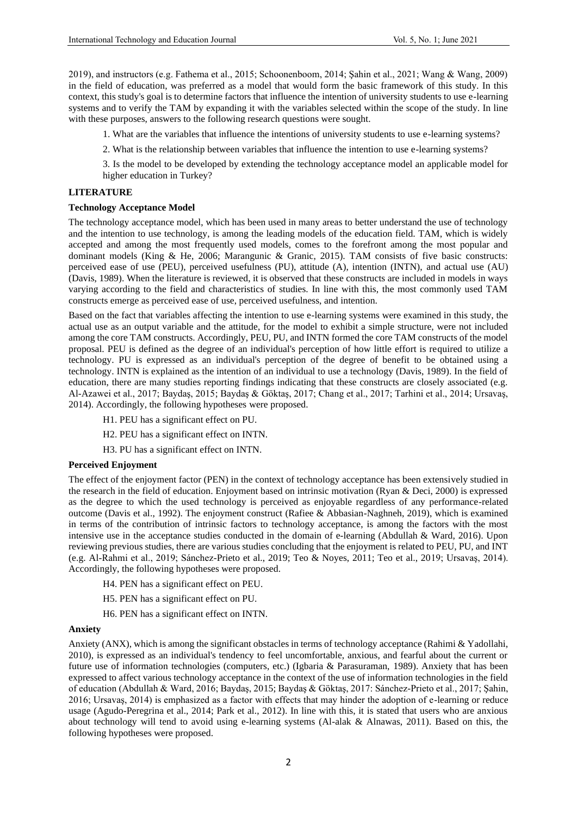2019), and instructors (e.g. Fathema et al., 2015; Schoonenboom, 2014; Şahin et al., 2021; Wang & Wang, 2009) in the field of education, was preferred as a model that would form the basic framework of this study. In this context, this study's goal is to determine factors that influence the intention of university students to use e-learning systems and to verify the TAM by expanding it with the variables selected within the scope of the study. In line with these purposes, answers to the following research questions were sought.

1. What are the variables that influence the intentions of university students to use e-learning systems?

2. What is the relationship between variables that influence the intention to use e-learning systems?

3. Is the model to be developed by extending the technology acceptance model an applicable model for higher education in Turkey?

#### **LITERATURE**

#### **Technology Acceptance Model**

The technology acceptance model, which has been used in many areas to better understand the use of technology and the intention to use technology, is among the leading models of the education field. TAM, which is widely accepted and among the most frequently used models, comes to the forefront among the most popular and dominant models (King & He, 2006; Marangunic & Granic, 2015). TAM consists of five basic constructs: perceived ease of use (PEU), perceived usefulness (PU), attitude (A), intention (INTN), and actual use (AU) (Davis, 1989). When the literature is reviewed, it is observed that these constructs are included in models in ways varying according to the field and characteristics of studies. In line with this, the most commonly used TAM constructs emerge as perceived ease of use, perceived usefulness, and intention.

Based on the fact that variables affecting the intention to use e-learning systems were examined in this study, the actual use as an output variable and the attitude, for the model to exhibit a simple structure, were not included among the core TAM constructs. Accordingly, PEU, PU, and INTN formed the core TAM constructs of the model proposal. PEU is defined as the degree of an individual's perception of how little effort is required to utilize a technology. PU is expressed as an individual's perception of the degree of benefit to be obtained using a technology. INTN is explained as the intention of an individual to use a technology (Davis, 1989). In the field of education, there are many studies reporting findings indicating that these constructs are closely associated (e.g. Al-Azawei et al., 2017; Baydaş, 2015; Baydaş & Göktaş, 2017; Chang et al., 2017; Tarhini et al., 2014; Ursavaş, 2014). Accordingly, the following hypotheses were proposed.

- H1. PEU has a significant effect on PU.
- H2. PEU has a significant effect on INTN.
- H3. PU has a significant effect on INTN.

## **Perceived Enjoyment**

The effect of the enjoyment factor (PEN) in the context of technology acceptance has been extensively studied in the research in the field of education. Enjoyment based on intrinsic motivation (Ryan & Deci, 2000) is expressed as the degree to which the used technology is perceived as enjoyable regardless of any performance-related outcome (Davis et al., 1992). The enjoyment construct (Rafiee & Abbasian-Naghneh, 2019), which is examined in terms of the contribution of intrinsic factors to technology acceptance, is among the factors with the most intensive use in the acceptance studies conducted in the domain of e-learning (Abdullah & Ward, 2016). Upon reviewing previous studies, there are various studies concluding that the enjoyment is related to PEU, PU, and INT (e.g. Al-Rahmi et al., 2019; Sánchez-Prieto et al., 2019; Teo & Noyes, 2011; Teo et al., 2019; Ursavaş, 2014). Accordingly, the following hypotheses were proposed.

- H4. PEN has a significant effect on PEU.
- H5. PEN has a significant effect on PU.
- H6. PEN has a significant effect on INTN.

#### **Anxiety**

Anxiety (ANX), which is among the significant obstacles in terms of technology acceptance (Rahimi & Yadollahi, 2010), is expressed as an individual's tendency to feel uncomfortable, anxious, and fearful about the current or future use of information technologies (computers, etc.) (Igbaria & Parasuraman, 1989). Anxiety that has been expressed to affect various technology acceptance in the context of the use of information technologies in the field of education (Abdullah & Ward, 2016; Baydaş, 2015; Baydaş & Göktaş, 2017: Sánchez-Prieto et al., 2017; Şahin, 2016; Ursavaş, 2014) is emphasized as a factor with effects that may hinder the adoption of e-learning or reduce usage (Agudo-Peregrina et al., 2014; Park et al., 2012). In line with this, it is stated that users who are anxious about technology will tend to avoid using e-learning systems (Al-alak & Alnawas, 2011). Based on this, the following hypotheses were proposed.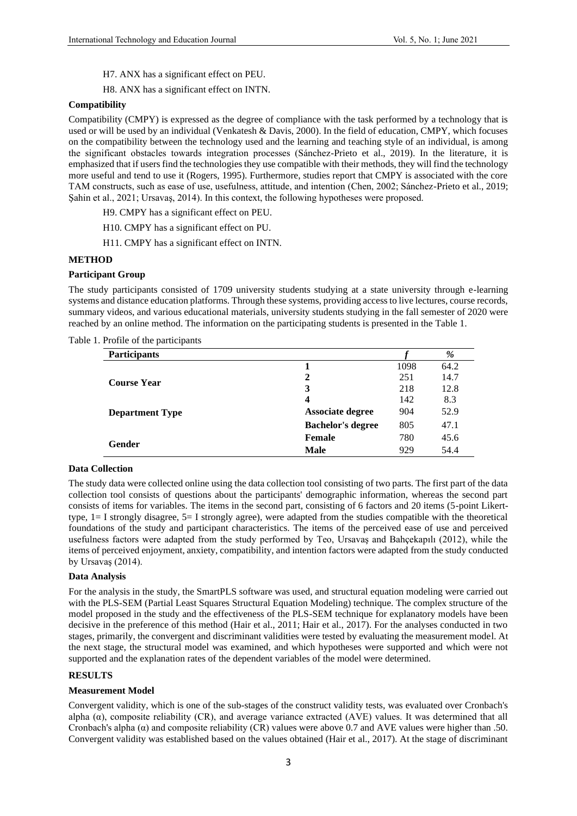- H7. ANX has a significant effect on PEU.
- H8. ANX has a significant effect on INTN.

#### **Compatibility**

Compatibility (CMPY) is expressed as the degree of compliance with the task performed by a technology that is used or will be used by an individual (Venkatesh & Davis, 2000). In the field of education, CMPY, which focuses on the compatibility between the technology used and the learning and teaching style of an individual, is among the significant obstacles towards integration processes (Sánchez-Prieto et al., 2019). In the literature, it is emphasized that if users find the technologies they use compatible with their methods, they will find the technology more useful and tend to use it (Rogers, 1995). Furthermore, studies report that CMPY is associated with the core TAM constructs, such as ease of use, usefulness, attitude, and intention (Chen, 2002; Sánchez-Prieto et al., 2019; Şahin et al., 2021; Ursavaş, 2014). In this context, the following hypotheses were proposed.

- H9. CMPY has a significant effect on PEU.
- H10. CMPY has a significant effect on PU.
- H11. CMPY has a significant effect on INTN.

#### **METHOD**

#### **Participant Group**

The study participants consisted of 1709 university students studying at a state university through e-learning systems and distance education platforms. Through these systems, providing access to live lectures, course records, summary videos, and various educational materials, university students studying in the fall semester of 2020 were reached by an online method. The information on the participating students is presented in the Table 1.

| <b>Participants</b>    |                          |      | %    |
|------------------------|--------------------------|------|------|
|                        |                          | 1098 | 64.2 |
| <b>Course Year</b>     | 2                        | 251  | 14.7 |
|                        | 3                        | 218  | 12.8 |
|                        | $\overline{4}$           | 142  | 8.3  |
| <b>Department Type</b> | Associate degree         | 904  | 52.9 |
|                        | <b>Bachelor's degree</b> | 805  | 47.1 |
| Gender                 | <b>Female</b>            | 780  | 45.6 |
|                        | <b>Male</b>              | 929  | 54.4 |

#### **Data Collection**

The study data were collected online using the data collection tool consisting of two parts. The first part of the data collection tool consists of questions about the participants' demographic information, whereas the second part consists of items for variables. The items in the second part, consisting of 6 factors and 20 items (5-point Likerttype,  $1 = I$  strongly disagree,  $5 = I$  strongly agree), were adapted from the studies compatible with the theoretical foundations of the study and participant characteristics. The items of the perceived ease of use and perceived usefulness factors were adapted from the study performed by Teo, Ursavaş and Bahçekapılı (2012), while the items of perceived enjoyment, anxiety, compatibility, and intention factors were adapted from the study conducted by Ursavaş (2014).

## **Data Analysis**

For the analysis in the study, the SmartPLS software was used, and structural equation modeling were carried out with the PLS-SEM (Partial Least Squares Structural Equation Modeling) technique. The complex structure of the model proposed in the study and the effectiveness of the PLS-SEM technique for explanatory models have been decisive in the preference of this method (Hair et al., 2011; Hair et al., 2017). For the analyses conducted in two stages, primarily, the convergent and discriminant validities were tested by evaluating the measurement model. At the next stage, the structural model was examined, and which hypotheses were supported and which were not supported and the explanation rates of the dependent variables of the model were determined.

#### **RESULTS**

#### **Measurement Model**

Convergent validity, which is one of the sub-stages of the construct validity tests, was evaluated over Cronbach's alpha  $(\alpha)$ , composite reliability (CR), and average variance extracted (AVE) values. It was determined that all Cronbach's alpha  $\alpha$ ) and composite reliability (CR) values were above 0.7 and AVE values were higher than .50. Convergent validity was established based on the values obtained (Hair et al., 2017). At the stage of discriminant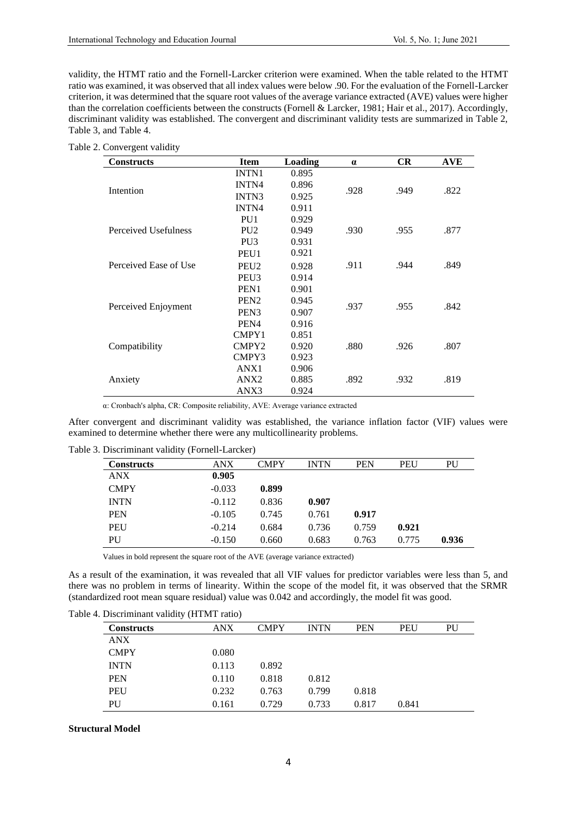validity, the HTMT ratio and the Fornell-Larcker criterion were examined. When the table related to the HTMT ratio was examined, it was observed that all index values were below .90. For the evaluation of the Fornell-Larcker criterion, it was determined that the square root values of the average variance extracted (AVE) values were higher than the correlation coefficients between the constructs (Fornell & Larcker, 1981; Hair et al., 2017). Accordingly, discriminant validity was established. The convergent and discriminant validity tests are summarized in Table 2, Table 3, and Table 4.

| <b>Constructs</b>     | <b>Item</b>      | Loading | $\alpha$ | <b>CR</b> | <b>AVE</b> |
|-----------------------|------------------|---------|----------|-----------|------------|
|                       | <b>INTN1</b>     | 0.895   |          |           |            |
|                       | <b>INTN4</b>     | 0.896   |          |           | .822       |
| Intention             | <b>INTN3</b>     | 0.925   | .928     | .949      |            |
|                       | <b>INTN4</b>     | 0.911   |          |           |            |
|                       | PU <sub>1</sub>  | 0.929   |          |           |            |
| Perceived Usefulness  | PU <sub>2</sub>  | 0.949   | .930     | .955      | .877       |
|                       | PU <sub>3</sub>  | 0.931   |          |           |            |
|                       | PEU1             | 0.921   |          |           |            |
| Perceived Ease of Use | PEU <sub>2</sub> | 0.928   | .911     | .944      | .849       |
|                       | PEU <sub>3</sub> | 0.914   |          |           |            |
|                       | PEN <sub>1</sub> | 0.901   |          |           |            |
|                       | PEN <sub>2</sub> | 0.945   | .937     | .955      | .842       |
| Perceived Enjoyment   | PEN <sub>3</sub> | 0.907   |          |           |            |
|                       | PEN4             | 0.916   |          |           |            |
|                       | CMPY1            | 0.851   |          |           |            |
| Compatibility         | CMPY2            | 0.920   | .880     | .926      | .807       |
|                       | CMPY3            | 0.923   |          |           |            |
|                       | ANX1             | 0.906   |          |           |            |
| Anxiety               | ANX <sub>2</sub> |         | .892     | .932      | .819       |
|                       | ANX3             | 0.924   |          |           |            |

α: Cronbach's alpha, CR: Composite reliability, AVE: Average variance extracted

After convergent and discriminant validity was established, the variance inflation factor (VIF) values were examined to determine whether there were any multicollinearity problems.

Table 3. Discriminant validity (Fornell-Larcker)

| <b>Constructs</b> | <b>ANX</b> | <b>CMPY</b> | <b>INTN</b> | <b>PEN</b> | <b>PEU</b> | PU    |
|-------------------|------------|-------------|-------------|------------|------------|-------|
| <b>ANX</b>        | 0.905      |             |             |            |            |       |
| <b>CMPY</b>       | $-0.033$   | 0.899       |             |            |            |       |
| <b>INTN</b>       | $-0.112$   | 0.836       | 0.907       |            |            |       |
| <b>PEN</b>        | $-0.105$   | 0.745       | 0.761       | 0.917      |            |       |
| PEU               | $-0.214$   | 0.684       | 0.736       | 0.759      | 0.921      |       |
| PU                | $-0.150$   | 0.660       | 0.683       | 0.763      | 0.775      | 0.936 |

Values in bold represent the square root of the AVE (average variance extracted)

As a result of the examination, it was revealed that all VIF values for predictor variables were less than 5, and there was no problem in terms of linearity. Within the scope of the model fit, it was observed that the SRMR (standardized root mean square residual) value was 0.042 and accordingly, the model fit was good.

| $\ldots$ Discriminant valianty (111 $\ldots$ 111 $\ldots$ ) |            |             |             |            |            |    |  |  |  |
|-------------------------------------------------------------|------------|-------------|-------------|------------|------------|----|--|--|--|
| <b>Constructs</b>                                           | <b>ANX</b> | <b>CMPY</b> | <b>INTN</b> | <b>PEN</b> | <b>PEU</b> | PU |  |  |  |
| <b>ANX</b>                                                  |            |             |             |            |            |    |  |  |  |
| <b>CMPY</b>                                                 | 0.080      |             |             |            |            |    |  |  |  |
| <b>INTN</b>                                                 | 0.113      | 0.892       |             |            |            |    |  |  |  |
| <b>PEN</b>                                                  | 0.110      | 0.818       | 0.812       |            |            |    |  |  |  |
| <b>PEU</b>                                                  | 0.232      | 0.763       | 0.799       | 0.818      |            |    |  |  |  |
| PU                                                          | 0.161      | 0.729       | 0.733       | 0.817      | 0.841      |    |  |  |  |
|                                                             |            |             |             |            |            |    |  |  |  |

## **Structural Model**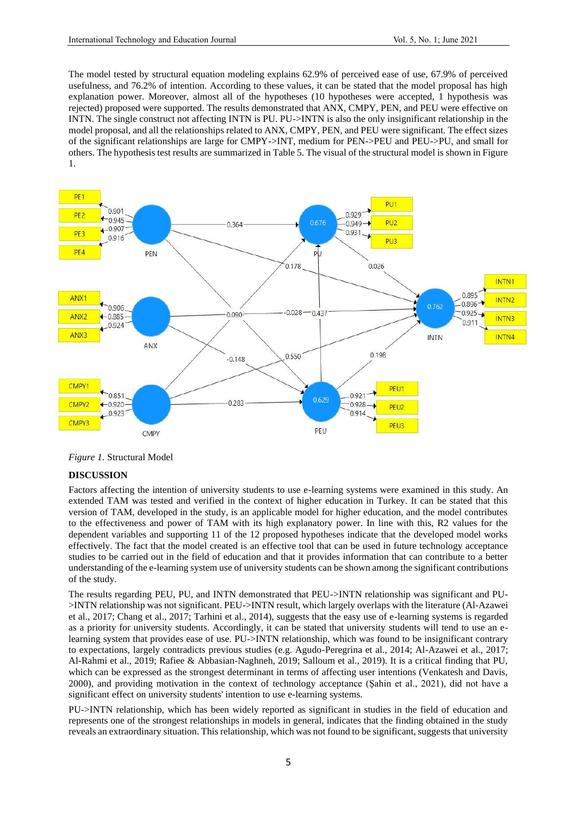The model tested by structural equation modeling explains 62.9% of perceived ease of use, 67.9% of perceived usefulness, and 76.2% of intention. According to these values, it can be stated that the model proposal has high explanation power. Moreover, almost all of the hypotheses (10 hypotheses were accepted, 1 hypothesis was rejected) proposed were supported. The results demonstrated that ANX, CMPY, PEN, and PEU were effective on INTN. The single construct not affecting INTN is PU. PU->INTN is also the only insignificant relationship in the model proposal, and all the relationships related to ANX, CMPY, PEN, and PEU were significant. The effect sizes of the significant relationships are large for CMPY->INT, medium for PEN->PEU and PEU->PU, and small for others. The hypothesis test results are summarized in Table 5. The visual of the structural model is shown in Figure 1.



*Figure 1.* Structural Model

## **DISCUSSION**

Factors affecting the intention of university students to use e-learning systems were examined in this study. An extended TAM was tested and verified in the context of higher education in Turkey. It can be stated that this version of TAM, developed in the study, is an applicable model for higher education, and the model contributes to the effectiveness and power of TAM with its high explanatory power. In line with this, R2 values for the dependent variables and supporting 11 of the 12 proposed hypotheses indicate that the developed model works effectively. The fact that the model created is an effective tool that can be used in future technology acceptance studies to be carried out in the field of education and that it provides information that can contribute to a better understanding of the e-learning system use of university students can be shown among the significant contributions of the study.

The results regarding PEU, PU, and INTN demonstrated that PEU->INTN relationship was significant and PU- >INTN relationship was not significant. PEU->INTN result, which largely overlaps with the literature (Al-Azawei et al., 2017; Chang et al., 2017; Tarhini et al., 2014), suggests that the easy use of e-learning systems is regarded as a priority for university students. Accordingly, it can be stated that university students will tend to use an elearning system that provides ease of use. PU->INTN relationship, which was found to be insignificant contrary to expectations, largely contradicts previous studies (e.g. Agudo-Peregrina et al., 2014; Al-Azawei et al., 2017; Al-Rahmi et al., 2019; Rafiee & Abbasian-Naghneh, 2019; Salloum et al., 2019). It is a critical finding that PU, which can be expressed as the strongest determinant in terms of affecting user intentions (Venkatesh and Davis, 2000), and providing motivation in the context of technology acceptance (Şahin et al., 2021), did not have a significant effect on university students' intention to use e-learning systems.

PU->INTN relationship, which has been widely reported as significant in studies in the field of education and represents one of the strongest relationships in models in general, indicates that the finding obtained in the study reveals an extraordinary situation. This relationship, which was not found to be significant, suggests that university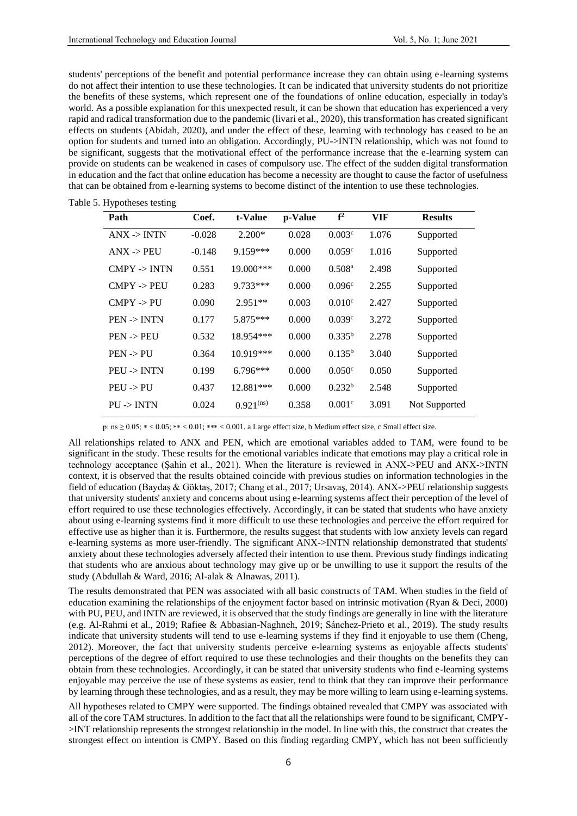students' perceptions of the benefit and potential performance increase they can obtain using e-learning systems do not affect their intention to use these technologies. It can be indicated that university students do not prioritize the benefits of these systems, which represent one of the foundations of online education, especially in today's world. As a possible explanation for this unexpected result, it can be shown that education has experienced a very rapid and radical transformation due to the pandemic (livari et al., 2020), this transformation has created significant effects on students (Abidah, 2020), and under the effect of these, learning with technology has ceased to be an option for students and turned into an obligation. Accordingly, PU->INTN relationship, which was not found to be significant, suggests that the motivational effect of the performance increase that the e-learning system can provide on students can be weakened in cases of compulsory use. The effect of the sudden digital transformation in education and the fact that online education has become a necessity are thought to cause the factor of usefulness that can be obtained from e-learning systems to become distinct of the intention to use these technologies.

Table 5. Hypotheses testing

| Path                    | Coef.    | t-Value        | p-Value | f <sup>2</sup>       | VIF   | <b>Results</b> |
|-------------------------|----------|----------------|---------|----------------------|-------|----------------|
| $ANX \rightarrow INTN$  | $-0.028$ | $2.200*$       | 0.028   | 0.003c               | 1.076 | Supported      |
| $ANX \rightarrow PEU$   | $-0.148$ | $9.159***$     | 0.000   | 0.059c               | 1.016 | Supported      |
| $CMPY \rightarrow INTN$ | 0.551    | $19.000$ ***   | 0.000   | $0.508$ <sup>a</sup> | 2.498 | Supported      |
| $CMPY \rightarrow PEU$  | 0.283    | 9.733***       | 0.000   | 0.096 <sup>c</sup>   | 2.255 | Supported      |
| $CMPY \rightarrow PU$   | 0.090    | $2.951**$      | 0.003   | 0.010 <sup>c</sup>   | 2.427 | Supported      |
| $PEN \rightarrow INTN$  | 0.177    | $5.875***$     | 0.000   | 0.039c               | 3.272 | Supported      |
| $PEN \rightarrow PEU$   | 0.532    | 18.954***      | 0.000   | $0.335^{b}$          | 2.278 | Supported      |
| $PEN \rightarrow PU$    | 0.364    | 10.919***      | 0.000   | $0.135^{b}$          | 3.040 | Supported      |
| $PEU \rightarrow INTN$  | 0.199    | $6.796***$     | 0.000   | 0.050 <sup>c</sup>   | 0.050 | Supported      |
| $PEU \rightarrow PU$    | 0.437    | 12.881***      | 0.000   | $0.232^{b}$          | 2.548 | Supported      |
| $PU \rightarrow INTN$   | 0.024    | $0.921^{(ns)}$ | 0.358   | 0.001 <sup>c</sup>   | 3.091 | Not Supported  |

p: ns ≥ 0.05; ∗ < 0.05; ∗∗ < 0.01; ∗∗∗ < 0.001. a Large effect size, b Medium effect size, c Small effect size.

All relationships related to ANX and PEN, which are emotional variables added to TAM, were found to be significant in the study. These results for the emotional variables indicate that emotions may play a critical role in technology acceptance (Şahin et al., 2021). When the literature is reviewed in ANX->PEU and ANX->INTN context, it is observed that the results obtained coincide with previous studies on information technologies in the field of education (Baydaş & Göktaş, 2017; Chang et al., 2017; Ursavaş, 2014). ANX->PEU relationship suggests that university students' anxiety and concerns about using e-learning systems affect their perception of the level of effort required to use these technologies effectively. Accordingly, it can be stated that students who have anxiety about using e-learning systems find it more difficult to use these technologies and perceive the effort required for effective use as higher than it is. Furthermore, the results suggest that students with low anxiety levels can regard e-learning systems as more user-friendly. The significant ANX->INTN relationship demonstrated that students' anxiety about these technologies adversely affected their intention to use them. Previous study findings indicating that students who are anxious about technology may give up or be unwilling to use it support the results of the study (Abdullah & Ward, 2016; Al-alak & Alnawas, 2011).

The results demonstrated that PEN was associated with all basic constructs of TAM. When studies in the field of education examining the relationships of the enjoyment factor based on intrinsic motivation (Ryan & Deci, 2000) with PU, PEU, and INTN are reviewed, it is observed that the study findings are generally in line with the literature (e.g. Al-Rahmi et al., 2019; Rafiee & Abbasian-Naghneh, 2019; Sánchez-Prieto et al., 2019). The study results indicate that university students will tend to use e-learning systems if they find it enjoyable to use them (Cheng, 2012). Moreover, the fact that university students perceive e-learning systems as enjoyable affects students' perceptions of the degree of effort required to use these technologies and their thoughts on the benefits they can obtain from these technologies. Accordingly, it can be stated that university students who find e-learning systems enjoyable may perceive the use of these systems as easier, tend to think that they can improve their performance by learning through these technologies, and as a result, they may be more willing to learn using e-learning systems.

All hypotheses related to CMPY were supported. The findings obtained revealed that CMPY was associated with all of the core TAM structures. In addition to the fact that all the relationships were found to be significant, CMPY- >INT relationship represents the strongest relationship in the model. In line with this, the construct that creates the strongest effect on intention is CMPY. Based on this finding regarding CMPY, which has not been sufficiently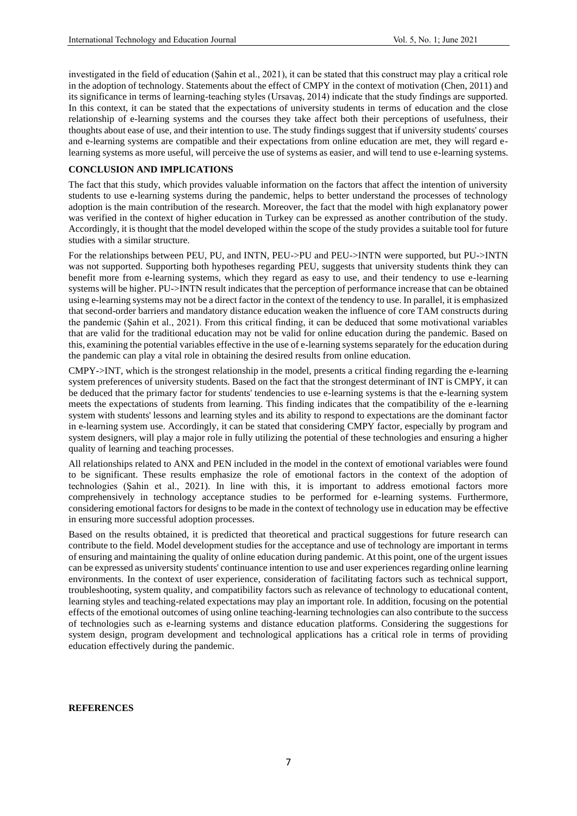investigated in the field of education (Şahin et al., 2021), it can be stated that this construct may play a critical role in the adoption of technology. Statements about the effect of CMPY in the context of motivation (Chen, 2011) and its significance in terms of learning-teaching styles (Ursavaş, 2014) indicate that the study findings are supported. In this context, it can be stated that the expectations of university students in terms of education and the close relationship of e-learning systems and the courses they take affect both their perceptions of usefulness, their thoughts about ease of use, and their intention to use. The study findings suggest that if university students' courses and e-learning systems are compatible and their expectations from online education are met, they will regard elearning systems as more useful, will perceive the use of systems as easier, and will tend to use e-learning systems.

## **CONCLUSION AND IMPLICATIONS**

The fact that this study, which provides valuable information on the factors that affect the intention of university students to use e-learning systems during the pandemic, helps to better understand the processes of technology adoption is the main contribution of the research. Moreover, the fact that the model with high explanatory power was verified in the context of higher education in Turkey can be expressed as another contribution of the study. Accordingly, it is thought that the model developed within the scope of the study provides a suitable tool for future studies with a similar structure.

For the relationships between PEU, PU, and INTN, PEU->PU and PEU->INTN were supported, but PU->INTN was not supported. Supporting both hypotheses regarding PEU, suggests that university students think they can benefit more from e-learning systems, which they regard as easy to use, and their tendency to use e-learning systems will be higher. PU->INTN result indicates that the perception of performance increase that can be obtained using e-learning systems may not be a direct factor in the context of the tendency to use. In parallel, it is emphasized that second-order barriers and mandatory distance education weaken the influence of core TAM constructs during the pandemic (Şahin et al., 2021). From this critical finding, it can be deduced that some motivational variables that are valid for the traditional education may not be valid for online education during the pandemic. Based on this, examining the potential variables effective in the use of e-learning systems separately for the education during the pandemic can play a vital role in obtaining the desired results from online education.

CMPY->INT, which is the strongest relationship in the model, presents a critical finding regarding the e-learning system preferences of university students. Based on the fact that the strongest determinant of INT is CMPY, it can be deduced that the primary factor for students' tendencies to use e-learning systems is that the e-learning system meets the expectations of students from learning. This finding indicates that the compatibility of the e-learning system with students' lessons and learning styles and its ability to respond to expectations are the dominant factor in e-learning system use. Accordingly, it can be stated that considering CMPY factor, especially by program and system designers, will play a major role in fully utilizing the potential of these technologies and ensuring a higher quality of learning and teaching processes.

All relationships related to ANX and PEN included in the model in the context of emotional variables were found to be significant. These results emphasize the role of emotional factors in the context of the adoption of technologies (Şahin et al., 2021). In line with this, it is important to address emotional factors more comprehensively in technology acceptance studies to be performed for e-learning systems. Furthermore, considering emotional factors for designs to be made in the context of technology use in education may be effective in ensuring more successful adoption processes.

Based on the results obtained, it is predicted that theoretical and practical suggestions for future research can contribute to the field. Model development studies for the acceptance and use of technology are important in terms of ensuring and maintaining the quality of online education during pandemic. At this point, one of the urgent issues can be expressed as university students' continuance intention to use and user experiences regarding online learning environments. In the context of user experience, consideration of facilitating factors such as technical support, troubleshooting, system quality, and compatibility factors such as relevance of technology to educational content, learning styles and teaching-related expectations may play an important role. In addition, focusing on the potential effects of the emotional outcomes of using online teaching-learning technologies can also contribute to the success of technologies such as e-learning systems and distance education platforms. Considering the suggestions for system design, program development and technological applications has a critical role in terms of providing education effectively during the pandemic.

#### **REFERENCES**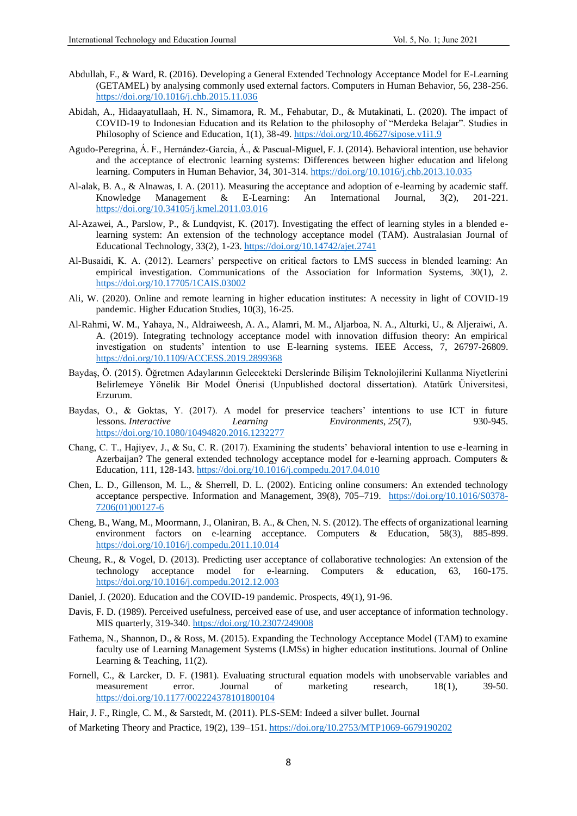- Abdullah, F., & Ward, R. (2016). Developing a General Extended Technology Acceptance Model for E-Learning (GETAMEL) by analysing commonly used external factors. Computers in Human Behavior, 56, 238-256. <https://doi.org/10.1016/j.chb.2015.11.036>
- Abidah, A., Hidaayatullaah, H. N., Simamora, R. M., Fehabutar, D., & Mutakinati, L. (2020). The impact of COVID-19 to Indonesian Education and its Relation to the philosophy of "Merdeka Belajar". Studies in Philosophy of Science and Education, 1(1), 38-49[. https://doi.org/10.46627/sipose.v1i1.9](https://doi.org/10.46627/sipose.v1i1.9)
- Agudo-Peregrina, Á. F., Hernández-García, Á., & Pascual-Miguel, F. J. (2014). Behavioral intention, use behavior and the acceptance of electronic learning systems: Differences between higher education and lifelong learning. Computers in Human Behavior, 34, 301-314[. https://doi.org/10.1016/j.chb.2013.10.035](https://doi.org/10.1016/j.chb.2013.10.035)
- Al-alak, B. A., & Alnawas, I. A. (2011). Measuring the acceptance and adoption of e-learning by academic staff. Knowledge Management & E-Learning: An International Journal, 3(2), 201-221. <https://doi.org/10.34105/j.kmel.2011.03.016>
- Al-Azawei, A., Parslow, P., & Lundqvist, K. (2017). Investigating the effect of learning styles in a blended elearning system: An extension of the technology acceptance model (TAM). Australasian Journal of Educational Technology, 33(2), 1-23.<https://doi.org/10.14742/ajet.2741>
- Al-Busaidi, K. A. (2012). Learners' perspective on critical factors to LMS success in blended learning: An empirical investigation. Communications of the Association for Information Systems, 30(1), 2. <https://doi.org/10.17705/1CAIS.03002>
- Ali, W. (2020). Online and remote learning in higher education institutes: A necessity in light of COVID-19 pandemic. Higher Education Studies, 10(3), 16-25.
- Al-Rahmi, W. M., Yahaya, N., Aldraiweesh, A. A., Alamri, M. M., Aljarboa, N. A., Alturki, U., & Aljeraiwi, A. A. (2019). Integrating technology acceptance model with innovation diffusion theory: An empirical investigation on students' intention to use E-learning systems. IEEE Access, 7, 26797-26809. <https://doi.org/10.1109/ACCESS.2019.2899368>
- Baydaş, Ö. (2015). Öğretmen Adaylarının Gelecekteki Derslerinde Bilişim Teknolojilerini Kullanma Niyetlerini Belirlemeye Yönelik Bir Model Önerisi (Unpublished doctoral dissertation). Atatürk Üniversitesi, Erzurum.
- Baydas, O., & Goktas, Y. (2017). A model for preservice teachers' intentions to use ICT in future lessons. *Interactive Learning Environments*, *25*(7), 930-945. <https://doi.org/10.1080/10494820.2016.1232277>
- Chang, C. T., Hajiyev, J., & Su, C. R. (2017). Examining the students' behavioral intention to use e-learning in Azerbaijan? The general extended technology acceptance model for e-learning approach. Computers & Education, 111, 128-143.<https://doi.org/10.1016/j.compedu.2017.04.010>
- Chen, L. D., Gillenson, M. L., & Sherrell, D. L. (2002). Enticing online consumers: An extended technology acceptance perspective. Information and Management, 39(8), 705–719. [https://doi.org/10.1016/S0378-](https://doi.org/10.1016/S0378-7206(01)00127-6) [7206\(01\)00127-6](https://doi.org/10.1016/S0378-7206(01)00127-6)
- Cheng, B., Wang, M., Moormann, J., Olaniran, B. A., & Chen, N. S. (2012). The effects of organizational learning environment factors on e-learning acceptance. Computers & Education, 58(3), 885-899. <https://doi.org/10.1016/j.compedu.2011.10.014>
- Cheung, R., & Vogel, D. (2013). Predicting user acceptance of collaborative technologies: An extension of the technology acceptance model for e-learning. Computers & education, 63, 160-175. <https://doi.org/10.1016/j.compedu.2012.12.003>
- Daniel, J. (2020). Education and the COVID-19 pandemic. Prospects, 49(1), 91-96.
- Davis, F. D. (1989). Perceived usefulness, perceived ease of use, and user acceptance of information technology. MIS quarterly, 319-340.<https://doi.org/10.2307/249008>
- Fathema, N., Shannon, D., & Ross, M. (2015). Expanding the Technology Acceptance Model (TAM) to examine faculty use of Learning Management Systems (LMSs) in higher education institutions. Journal of Online Learning & Teaching, 11(2).
- Fornell, C., & Larcker, D. F. (1981). Evaluating structural equation models with unobservable variables and measurement error. Journal of marketing research, 18(1), 39-50. <https://doi.org/10.1177/002224378101800104>

of Marketing Theory and Practice, 19(2), 139–151.<https://doi.org/10.2753/MTP1069-6679190202>

Hair, J. F., Ringle, C. M., & Sarstedt, M. (2011). PLS-SEM: Indeed a silver bullet. Journal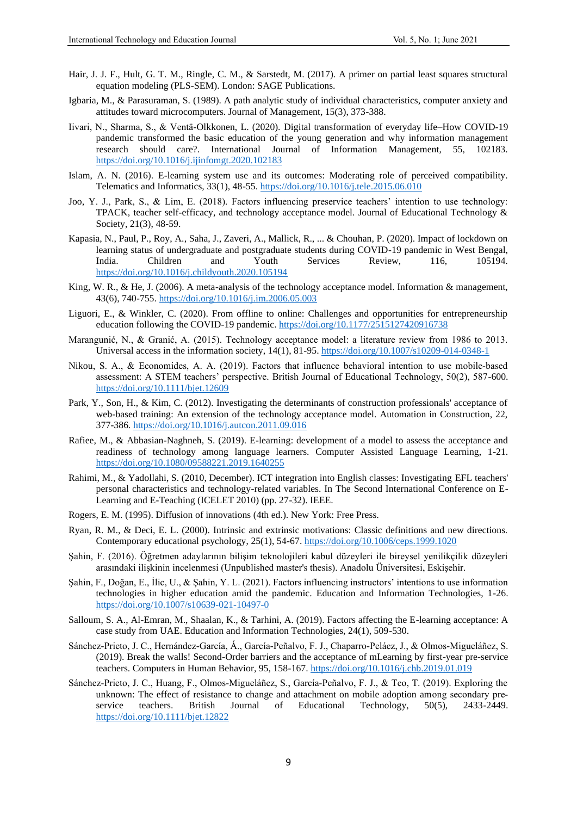- Hair, J. J. F., Hult, G. T. M., Ringle, C. M., & Sarstedt, M. (2017). A primer on partial least squares structural equation modeling (PLS-SEM). London: SAGE Publications.
- Igbaria, M., & Parasuraman, S. (1989). A path analytic study of individual characteristics, computer anxiety and attitudes toward microcomputers. Journal of Management, 15(3), 373-388.
- Iivari, N., Sharma, S., & Ventä-Olkkonen, L. (2020). Digital transformation of everyday life–How COVID-19 pandemic transformed the basic education of the young generation and why information management research should care?. International Journal of Information Management, 55, 102183. <https://doi.org/10.1016/j.ijinfomgt.2020.102183>
- Islam, A. N. (2016). E-learning system use and its outcomes: Moderating role of perceived compatibility. Telematics and Informatics, 33(1), 48-55[. https://doi.org/10.1016/j.tele.2015.06.010](https://doi.org/10.1016/j.tele.2015.06.010)
- Joo, Y. J., Park, S., & Lim, E. (2018). Factors influencing preservice teachers' intention to use technology: TPACK, teacher self-efficacy, and technology acceptance model. Journal of Educational Technology & Society, 21(3), 48-59.
- Kapasia, N., Paul, P., Roy, A., Saha, J., Zaveri, A., Mallick, R., ... & Chouhan, P. (2020). Impact of lockdown on learning status of undergraduate and postgraduate students during COVID-19 pandemic in West Bengal, India. Children and Youth Services Review, 116, 105194. <https://doi.org/10.1016/j.childyouth.2020.105194>
- King, W. R., & He, J. (2006). A meta-analysis of the technology acceptance model. Information & management, 43(6), 740-755.<https://doi.org/10.1016/j.im.2006.05.003>
- Liguori, E., & Winkler, C. (2020). From offline to online: Challenges and opportunities for entrepreneurship education following the COVID-19 pandemic.<https://doi.org/10.1177/2515127420916738>
- Marangunić, N., & Granić, A. (2015). Technology acceptance model: a literature review from 1986 to 2013. Universal access in the information society, 14(1), 81-95[. https://doi.org/10.1007/s10209-014-0348-1](https://doi.org/10.1007/s10209-014-0348-1)
- Nikou, S. A., & Economides, A. A. (2019). Factors that influence behavioral intention to use mobile-based assessment: A STEM teachers' perspective. British Journal of Educational Technology, 50(2), 587-600. <https://doi.org/10.1111/bjet.12609>
- Park, Y., Son, H., & Kim, C. (2012). Investigating the determinants of construction professionals' acceptance of web-based training: An extension of the technology acceptance model. Automation in Construction, 22, 377-386[. https://doi.org/10.1016/j.autcon.2011.09.016](https://doi.org/10.1016/j.autcon.2011.09.016)
- Rafiee, M., & Abbasian-Naghneh, S. (2019). E-learning: development of a model to assess the acceptance and readiness of technology among language learners. Computer Assisted Language Learning, 1-21. <https://doi.org/10.1080/09588221.2019.1640255>
- Rahimi, M., & Yadollahi, S. (2010, December). ICT integration into English classes: Investigating EFL teachers' personal characteristics and technology-related variables. In The Second International Conference on E-Learning and E-Teaching (ICELET 2010) (pp. 27-32). IEEE.
- Rogers, E. M. (1995). Diffusion of innovations (4th ed.). New York: Free Press.
- Ryan, R. M., & Deci, E. L. (2000). Intrinsic and extrinsic motivations: Classic definitions and new directions. Contemporary educational psychology, 25(1), 54-67.<https://doi.org/10.1006/ceps.1999.1020>
- Şahin, F. (2016). Öğretmen adaylarının bilişim teknolojileri kabul düzeyleri ile bireysel yenilikçilik düzeyleri arasındaki ilişkinin incelenmesi (Unpublished master's thesis). Anadolu Üniversitesi, Eskişehir.
- Şahin, F., Doğan, E., İlic, U., & Şahin, Y. L. (2021). Factors influencing instructors' intentions to use information technologies in higher education amid the pandemic. Education and Information Technologies, 1-26. <https://doi.org/10.1007/s10639-021-10497-0>
- Salloum, S. A., Al-Emran, M., Shaalan, K., & Tarhini, A. (2019). Factors affecting the E-learning acceptance: A case study from UAE. Education and Information Technologies, 24(1), 509-530.
- Sánchez-Prieto, J. C., Hernández-García, Á., García-Peñalvo, F. J., Chaparro-Peláez, J., & Olmos-Migueláñez, S. (2019). Break the walls! Second-Order barriers and the acceptance of mLearning by first-year pre-service teachers. Computers in Human Behavior, 95, 158-167[. https://doi.org/10.1016/j.chb.2019.01.019](https://doi.org/10.1016/j.chb.2019.01.019)
- Sánchez‐Prieto, J. C., Huang, F., Olmos‐Migueláñez, S., García‐Peñalvo, F. J., & Teo, T. (2019). Exploring the unknown: The effect of resistance to change and attachment on mobile adoption among secondary preservice teachers. British Journal of Educational Technology, 50(5), 2433-2449. <https://doi.org/10.1111/bjet.12822>